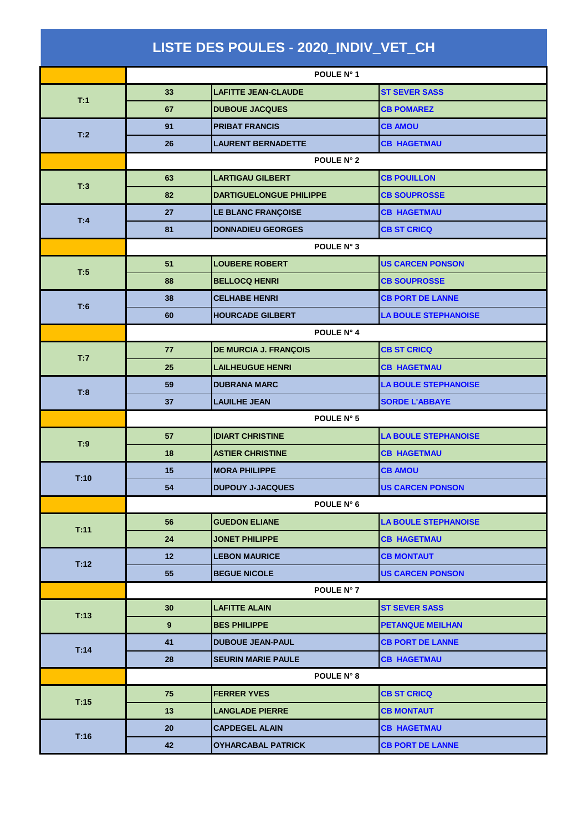| LISTE DES POULES - 2020_INDIV_VET_CH |                  |                                |                             |  |  |
|--------------------------------------|------------------|--------------------------------|-----------------------------|--|--|
|                                      |                  | POULE N° 1                     |                             |  |  |
| T:1                                  | 33               | <b>LAFITTE JEAN-CLAUDE</b>     | <b>ST SEVER SASS</b>        |  |  |
|                                      | 67               | <b>DUBOUE JACQUES</b>          | <b>CB POMAREZ</b>           |  |  |
| T:2                                  | 91               | <b>PRIBAT FRANCIS</b>          | <b>CB AMOU</b>              |  |  |
|                                      | 26               | <b>LAURENT BERNADETTE</b>      | <b>CB HAGETMAU</b>          |  |  |
|                                      | POULE N° 2       |                                |                             |  |  |
| T:3                                  | 63               | <b>LARTIGAU GILBERT</b>        | <b>CB POUILLON</b>          |  |  |
|                                      | 82               | <b>DARTIGUELONGUE PHILIPPE</b> | <b>CB SOUPROSSE</b>         |  |  |
| T:4                                  | 27               | LE BLANC FRANÇOISE             | <b>CB HAGETMAU</b>          |  |  |
|                                      | 81               | <b>DONNADIEU GEORGES</b>       | <b>CB ST CRICQ</b>          |  |  |
|                                      | POULE N° 3       |                                |                             |  |  |
| T:5                                  | 51               | <b>LOUBERE ROBERT</b>          | <b>US CARCEN PONSON</b>     |  |  |
|                                      | 88               | <b>BELLOCQ HENRI</b>           | <b>CB SOUPROSSE</b>         |  |  |
| T:6                                  | 38               | <b>CELHABE HENRI</b>           | <b>CB PORT DE LANNE</b>     |  |  |
|                                      | 60               | <b>HOURCADE GILBERT</b>        | <b>LA BOULE STEPHANOISE</b> |  |  |
|                                      | POULE N° 4       |                                |                             |  |  |
| T:7                                  | 77               | DE MURCIA J. FRANÇOIS          | <b>CB ST CRICQ</b>          |  |  |
|                                      | 25               | <b>LAILHEUGUE HENRI</b>        | <b>CB HAGETMAU</b>          |  |  |
| T:8                                  | 59               | <b>DUBRANA MARC</b>            | <b>LA BOULE STEPHANOISE</b> |  |  |
|                                      | 37               | <b>LAUILHE JEAN</b>            | <b>SORDE L'ABBAYE</b>       |  |  |
|                                      | POULE N° 5       |                                |                             |  |  |
| T:9                                  | 57               | <b>IDIART CHRISTINE</b>        | <b>LA BOULE STEPHANOISE</b> |  |  |
|                                      | 18               | <b>ASTIER CHRISTINE</b>        | <b>CB HAGETMAU</b>          |  |  |
| T:10                                 | 15               | <b>MORA PHILIPPE</b>           | <b>CB AMOU</b>              |  |  |
|                                      | 54               | <b>DUPOUY J-JACQUES</b>        | <b>US CARCEN PONSON</b>     |  |  |
|                                      |                  | POULE N° 6                     |                             |  |  |
| T:11                                 | 56               | <b>GUEDON ELIANE</b>           | <b>LA BOULE STEPHANOISE</b> |  |  |
|                                      | 24               | <b>JONET PHILIPPE</b>          | <b>CB HAGETMAU</b>          |  |  |
| T:12                                 | 12 <sub>2</sub>  | <b>LEBON MAURICE</b>           | <b>CB MONTAUT</b>           |  |  |
|                                      | 55               | <b>BEGUE NICOLE</b>            | <b>US CARCEN PONSON</b>     |  |  |
|                                      |                  | POULE N° 7                     |                             |  |  |
| T:13                                 | 30               | <b>LAFITTE ALAIN</b>           | <b>ST SEVER SASS</b>        |  |  |
|                                      | $\boldsymbol{9}$ | <b>BES PHILIPPE</b>            | <b>PETANQUE MEILHAN</b>     |  |  |
| T:14                                 | 41               | <b>DUBOUE JEAN-PAUL</b>        | <b>CB PORT DE LANNE</b>     |  |  |
|                                      | 28               | <b>SEURIN MARIE PAULE</b>      | <b>CB HAGETMAU</b>          |  |  |
|                                      |                  | POULE N° 8                     |                             |  |  |
| T:15                                 | 75               | <b>FERRER YVES</b>             | <b>CB ST CRICQ</b>          |  |  |
|                                      | 13               | <b>LANGLADE PIERRE</b>         | <b>CB MONTAUT</b>           |  |  |
| T:16                                 | 20               | <b>CAPDEGEL ALAIN</b>          | <b>CB HAGETMAU</b>          |  |  |
|                                      | 42               | <b>OYHARCABAL PATRICK</b>      | <b>CB PORT DE LANNE</b>     |  |  |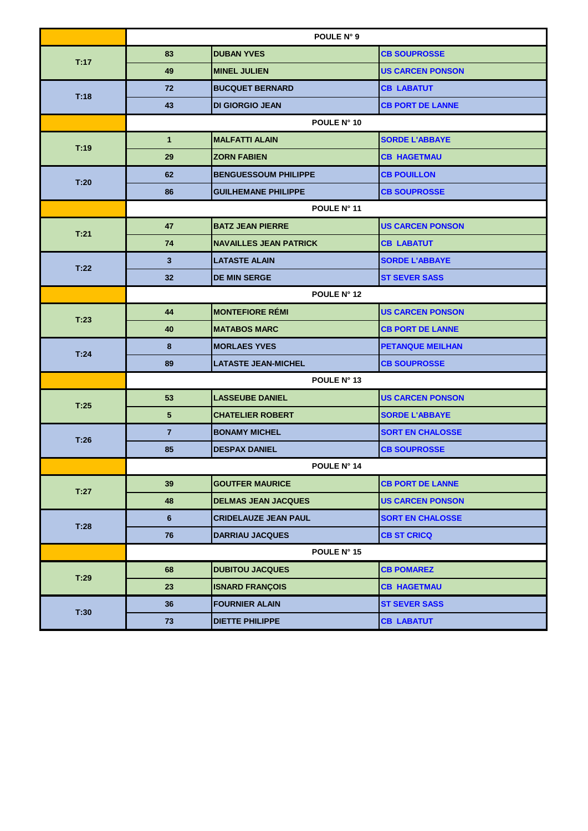|      | POULE N° 9      |                               |                         |  |
|------|-----------------|-------------------------------|-------------------------|--|
| T:17 | 83              | <b>DUBAN YVES</b>             | <b>CB SOUPROSSE</b>     |  |
|      | 49              | <b>MINEL JULIEN</b>           | <b>US CARCEN PONSON</b> |  |
|      | 72              | <b>BUCQUET BERNARD</b>        | <b>CB LABATUT</b>       |  |
| T:18 | 43              | <b>DI GIORGIO JEAN</b>        | <b>CB PORT DE LANNE</b> |  |
|      | POULE N° 10     |                               |                         |  |
| T:19 | $\mathbf{1}$    | <b>MALFATTI ALAIN</b>         | <b>SORDE L'ABBAYE</b>   |  |
|      | 29              | <b>ZORN FABIEN</b>            | <b>CB HAGETMAU</b>      |  |
| T:20 | 62              | <b>BENGUESSOUM PHILIPPE</b>   | <b>CB POUILLON</b>      |  |
|      | 86              | <b>GUILHEMANE PHILIPPE</b>    | <b>CB SOUPROSSE</b>     |  |
|      | POULE N° 11     |                               |                         |  |
| T:21 | 47              | <b>BATZ JEAN PIERRE</b>       | <b>US CARCEN PONSON</b> |  |
|      | 74              | <b>NAVAILLES JEAN PATRICK</b> | <b>CB LABATUT</b>       |  |
| T:22 | 3               | <b>LATASTE ALAIN</b>          | <b>SORDE L'ABBAYE</b>   |  |
|      | 32              | <b>DE MIN SERGE</b>           | <b>ST SEVER SASS</b>    |  |
|      | POULE N° 12     |                               |                         |  |
| T:23 | 44              | <b>MONTEFIORE RÉMI</b>        | <b>US CARCEN PONSON</b> |  |
|      | 40              | <b>MATABOS MARC</b>           | <b>CB PORT DE LANNE</b> |  |
| T:24 | 8               | <b>MORLAES YVES</b>           | <b>PETANQUE MEILHAN</b> |  |
|      | 89              | <b>LATASTE JEAN-MICHEL</b>    | <b>CB SOUPROSSE</b>     |  |
|      | POULE N° 13     |                               |                         |  |
| T:25 | 53              | <b>LASSEUBE DANIEL</b>        | <b>US CARCEN PONSON</b> |  |
|      | $5\phantom{.0}$ | <b>CHATELIER ROBERT</b>       | <b>SORDE L'ABBAYE</b>   |  |
| T:26 | $\overline{7}$  | <b>BONAMY MICHEL</b>          | <b>SORT EN CHALOSSE</b> |  |
|      | 85              | <b>DESPAX DANIEL</b>          | <b>CB SOUPROSSE</b>     |  |
|      | POULE N° 14     |                               |                         |  |
| T:27 | 39              | <b>GOUTFER MAURICE</b>        | <b>CB PORT DE LANNE</b> |  |
|      | 48              | <b>DELMAS JEAN JACQUES</b>    | <b>US CARCEN PONSON</b> |  |
| T:28 | $6\phantom{1}$  | <b>CRIDELAUZE JEAN PAUL</b>   | <b>SORT EN CHALOSSE</b> |  |
|      | 76              | <b>DARRIAU JACQUES</b>        | <b>CB ST CRICQ</b>      |  |
|      |                 | POULE N° 15                   |                         |  |
| T:29 | 68              | <b>DUBITOU JACQUES</b>        | <b>CB POMAREZ</b>       |  |
|      | 23              | <b>ISNARD FRANÇOIS</b>        | <b>CB HAGETMAU</b>      |  |
| T:30 | 36              | <b>FOURNIER ALAIN</b>         | <b>ST SEVER SASS</b>    |  |
|      | 73              | <b>DIETTE PHILIPPE</b>        | <b>CB LABATUT</b>       |  |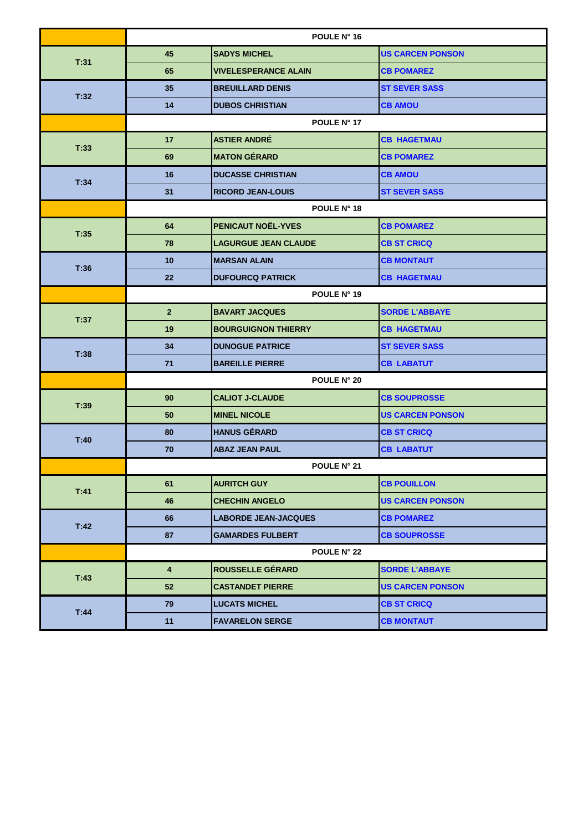|      | POULE N° 16             |                             |                         |
|------|-------------------------|-----------------------------|-------------------------|
| T:31 | 45                      | <b>SADYS MICHEL</b>         | <b>US CARCEN PONSON</b> |
|      | 65                      | <b>VIVELESPERANCE ALAIN</b> | <b>CB POMAREZ</b>       |
| T.32 | 35                      | <b>BREUILLARD DENIS</b>     | <b>ST SEVER SASS</b>    |
|      | 14                      | <b>DUBOS CHRISTIAN</b>      | <b>CB AMOU</b>          |
|      | POULE N° 17             |                             |                         |
| T:33 | 17                      | <b>ASTIER ANDRÉ</b>         | <b>CB HAGETMAU</b>      |
|      | 69                      | <b>MATON GÉRARD</b>         | <b>CB POMAREZ</b>       |
| T:34 | 16                      | <b>DUCASSE CHRISTIAN</b>    | <b>CB AMOU</b>          |
|      | 31                      | <b>RICORD JEAN-LOUIS</b>    | <b>ST SEVER SASS</b>    |
|      | POULE N° 18             |                             |                         |
| T:35 | 64                      | <b>PENICAUT NOËL-YVES</b>   | <b>CB POMAREZ</b>       |
|      | 78                      | <b>LAGURGUE JEAN CLAUDE</b> | <b>CB ST CRICQ</b>      |
| T:36 | 10                      | <b>MARSAN ALAIN</b>         | <b>CB MONTAUT</b>       |
|      | 22                      | <b>DUFOURCQ PATRICK</b>     | <b>CB HAGETMAU</b>      |
|      | POULE N° 19             |                             |                         |
| T:37 | 2 <sup>2</sup>          | <b>BAVART JACQUES</b>       | <b>SORDE L'ABBAYE</b>   |
|      | 19                      | <b>BOURGUIGNON THIERRY</b>  | <b>CB HAGETMAU</b>      |
| T:38 | 34                      | <b>DUNOGUE PATRICE</b>      | <b>ST SEVER SASS</b>    |
|      | 71                      | <b>BAREILLE PIERRE</b>      | <b>CB LABATUT</b>       |
|      | POULE N° 20             |                             |                         |
| T:39 | 90                      | <b>CALIOT J-CLAUDE</b>      | <b>CB SOUPROSSE</b>     |
|      | 50                      | <b>MINEL NICOLE</b>         | <b>US CARCEN PONSON</b> |
| T:40 | 80                      | <b>HANUS GÉRARD</b>         | <b>CB ST CRICQ</b>      |
|      | 70                      | <b>ABAZ JEAN PAUL</b>       | <b>CB LABATUT</b>       |
|      | POULE N° 21             |                             |                         |
| T:41 | 61                      | <b>AURITCH GUY</b>          | <b>CB POUILLON</b>      |
|      | 46                      | <b>CHECHIN ANGELO</b>       | <b>US CARCEN PONSON</b> |
| T.42 | 66                      | <b>LABORDE JEAN-JACQUES</b> | <b>CB POMAREZ</b>       |
|      | 87                      | <b>GAMARDES FULBERT</b>     | <b>CB SOUPROSSE</b>     |
|      |                         | POULE N° 22                 |                         |
| T:43 | $\overline{\mathbf{4}}$ | <b>ROUSSELLE GÉRARD</b>     | <b>SORDE L'ABBAYE</b>   |
|      | 52                      | <b>CASTANDET PIERRE</b>     | <b>US CARCEN PONSON</b> |
| T.44 | 79                      | <b>LUCATS MICHEL</b>        | <b>CB ST CRICQ</b>      |
|      | 11                      | <b>FAVARELON SERGE</b>      | <b>CB MONTAUT</b>       |